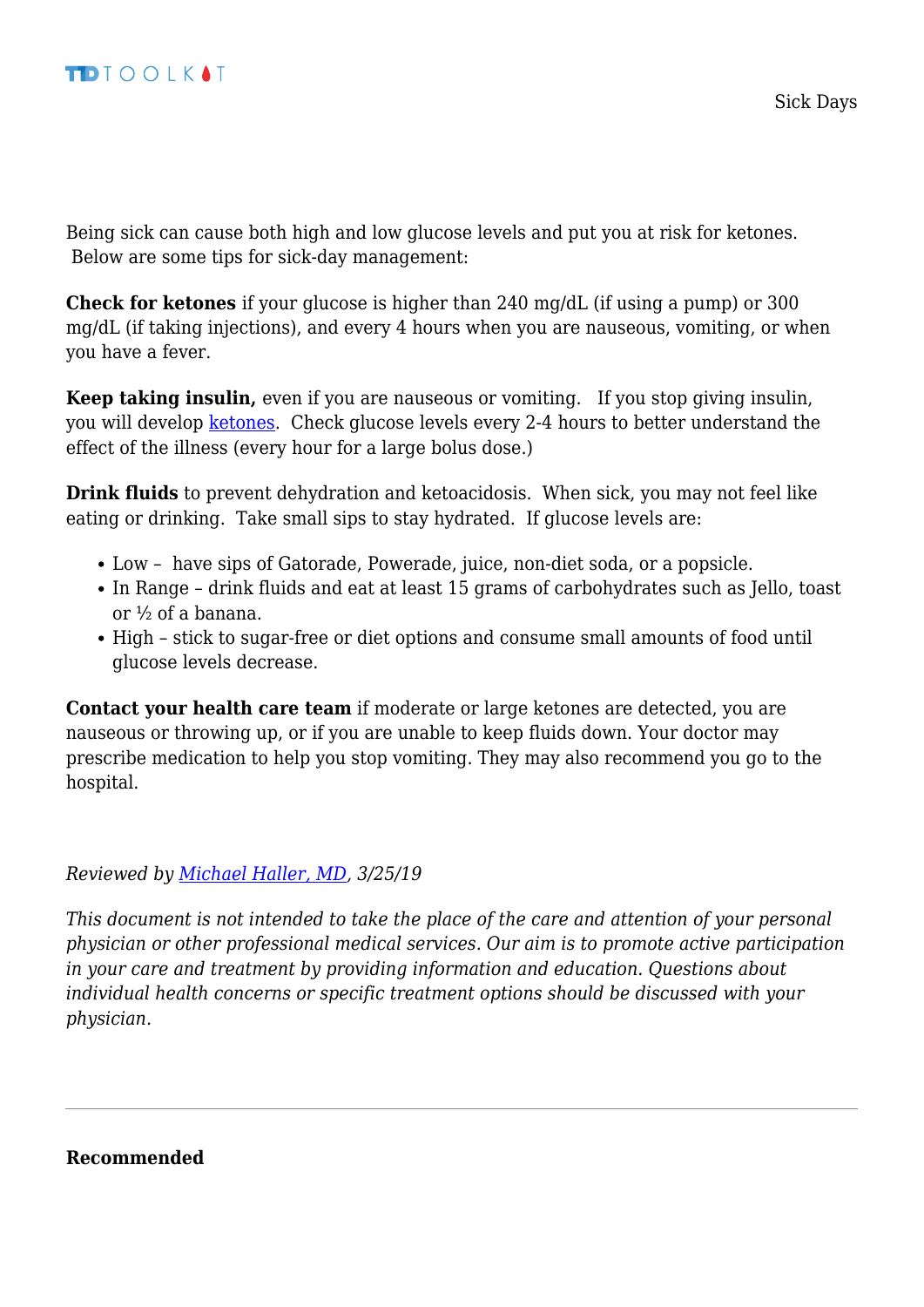Being sick can cause both high and low glucose levels and put you at risk for ketones. Below are some tips for sick-day management:

**Check for ketones** if your glucose is higher than 240 mg/dL (if using a pump) or 300 mg/dL (if taking injections), and every 4 hours when you are nauseous, vomiting, or when you have a fever.

**Keep taking insulin,** even if you are nauseous or vomiting. If you stop giving insulin, you will develop [ketones](http://t1dtoolkit.org/basic-knowledge/what-are-ketones/). Check glucose levels every 2-4 hours to better understand the effect of the illness (every hour for a large bolus dose.)

**Drink fluids** to prevent dehydration and ketoacidosis. When sick, you may not feel like eating or drinking. Take small sips to stay hydrated. If glucose levels are:

- Low have sips of Gatorade, Powerade, juice, non-diet soda, or a popsicle.
- In Range drink fluids and eat at least 15 grams of carbohydrates such as Jello, toast or ½ of a banana.
- High stick to sugar-free or diet options and consume small amounts of food until glucose levels decrease.

**Contact your health care team** if moderate or large ketones are detected, you are nauseous or throwing up, or if you are unable to keep fluids down. Your doctor may prescribe medication to help you stop vomiting. They may also recommend you go to the hospital.

*Reviewed by [Michael Haller, MD](http://t1dtoolkit.org/?team=michael-haller), 3/25/19*

*This document is not intended to take the place of the care and attention of your personal physician or other professional medical services. Our aim is to promote active participation in your care and treatment by providing information and education. Questions about individual health concerns or specific treatment options should be discussed with your physician.*

**Recommended**